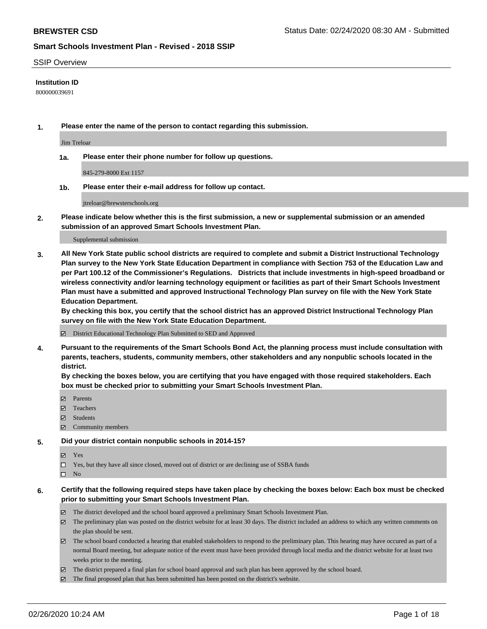#### SSIP Overview

### **Institution ID**

800000039691

**1. Please enter the name of the person to contact regarding this submission.**

Jim Treloar

**1a. Please enter their phone number for follow up questions.**

845-279-8000 Ext 1157

**1b. Please enter their e-mail address for follow up contact.**

jtreloar@brewsterschools.org

**2. Please indicate below whether this is the first submission, a new or supplemental submission or an amended submission of an approved Smart Schools Investment Plan.**

#### Supplemental submission

**3. All New York State public school districts are required to complete and submit a District Instructional Technology Plan survey to the New York State Education Department in compliance with Section 753 of the Education Law and per Part 100.12 of the Commissioner's Regulations. Districts that include investments in high-speed broadband or wireless connectivity and/or learning technology equipment or facilities as part of their Smart Schools Investment Plan must have a submitted and approved Instructional Technology Plan survey on file with the New York State Education Department.** 

**By checking this box, you certify that the school district has an approved District Instructional Technology Plan survey on file with the New York State Education Department.**

District Educational Technology Plan Submitted to SED and Approved

**4. Pursuant to the requirements of the Smart Schools Bond Act, the planning process must include consultation with parents, teachers, students, community members, other stakeholders and any nonpublic schools located in the district.** 

**By checking the boxes below, you are certifying that you have engaged with those required stakeholders. Each box must be checked prior to submitting your Smart Schools Investment Plan.**

- **マ** Parents
- Teachers
- Students
- Community members

#### **5. Did your district contain nonpublic schools in 2014-15?**

**冈** Yes

Yes, but they have all since closed, moved out of district or are declining use of SSBA funds

 $\square$  No

- **6. Certify that the following required steps have taken place by checking the boxes below: Each box must be checked prior to submitting your Smart Schools Investment Plan.**
	- The district developed and the school board approved a preliminary Smart Schools Investment Plan.
	- $\boxtimes$  The preliminary plan was posted on the district website for at least 30 days. The district included an address to which any written comments on the plan should be sent.
	- $\boxtimes$  The school board conducted a hearing that enabled stakeholders to respond to the preliminary plan. This hearing may have occured as part of a normal Board meeting, but adequate notice of the event must have been provided through local media and the district website for at least two weeks prior to the meeting.
	- The district prepared a final plan for school board approval and such plan has been approved by the school board.
	- $\boxtimes$  The final proposed plan that has been submitted has been posted on the district's website.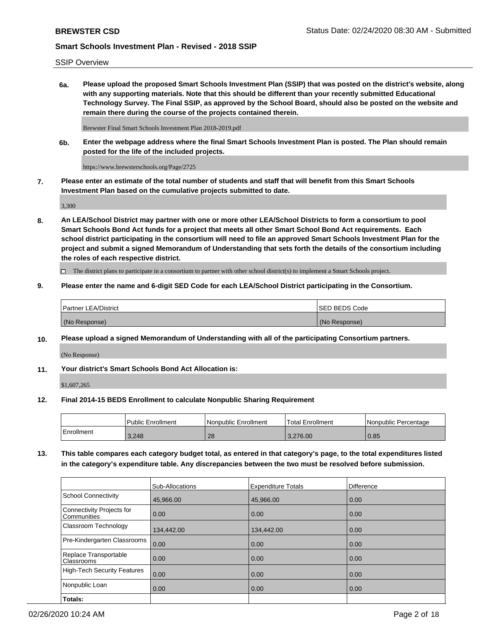SSIP Overview

**6a. Please upload the proposed Smart Schools Investment Plan (SSIP) that was posted on the district's website, along with any supporting materials. Note that this should be different than your recently submitted Educational Technology Survey. The Final SSIP, as approved by the School Board, should also be posted on the website and remain there during the course of the projects contained therein.**

Brewster Final Smart Schools Investment Plan 2018-2019.pdf

**6b. Enter the webpage address where the final Smart Schools Investment Plan is posted. The Plan should remain posted for the life of the included projects.**

https://www.brewsterschools.org/Page/2725

**7. Please enter an estimate of the total number of students and staff that will benefit from this Smart Schools Investment Plan based on the cumulative projects submitted to date.**

3,300

**8. An LEA/School District may partner with one or more other LEA/School Districts to form a consortium to pool Smart Schools Bond Act funds for a project that meets all other Smart School Bond Act requirements. Each school district participating in the consortium will need to file an approved Smart Schools Investment Plan for the project and submit a signed Memorandum of Understanding that sets forth the details of the consortium including the roles of each respective district.**

 $\Box$  The district plans to participate in a consortium to partner with other school district(s) to implement a Smart Schools project.

### **9. Please enter the name and 6-digit SED Code for each LEA/School District participating in the Consortium.**

| <b>Partner LEA/District</b> |  | ISED BEDS Code |
|-----------------------------|--|----------------|
| (No Response)               |  | (No Response)  |

### **10. Please upload a signed Memorandum of Understanding with all of the participating Consortium partners.**

(No Response)

#### **11. Your district's Smart Schools Bond Act Allocation is:**

\$1,607,265

#### **12. Final 2014-15 BEDS Enrollment to calculate Nonpublic Sharing Requirement**

|            | Public Enrollment | Nonpublic Enrollment | Total Enrollment | l Nonpublic Percentage |
|------------|-------------------|----------------------|------------------|------------------------|
| Enrollment | 3,248             | 28                   | 3.276.00         | 0.85                   |

**13. This table compares each category budget total, as entered in that category's page, to the total expenditures listed in the category's expenditure table. Any discrepancies between the two must be resolved before submission.**

|                                          | Sub-Allocations | <b>Expenditure Totals</b> | Difference |
|------------------------------------------|-----------------|---------------------------|------------|
| <b>School Connectivity</b>               | 45,966.00       | 45,966.00                 | 0.00       |
| Connectivity Projects for<br>Communities | 0.00            | 0.00                      | 0.00       |
| Classroom Technology                     | 134,442.00      | 134,442.00                | 0.00       |
| Pre-Kindergarten Classrooms              | 0.00            | 0.00                      | 0.00       |
| Replace Transportable<br>Classrooms      | 0.00            | 0.00                      | 0.00       |
| <b>High-Tech Security Features</b>       | 0.00            | 0.00                      | 0.00       |
| Nonpublic Loan                           | 0.00            | 0.00                      | 0.00       |
| Totals:                                  |                 |                           |            |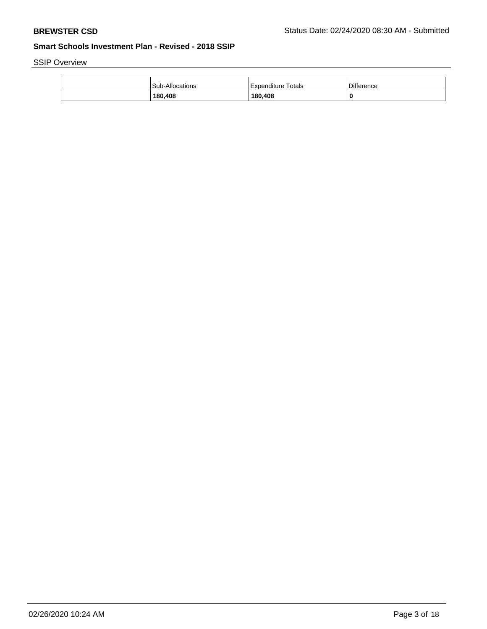SSIP Overview

| Sub-Allocations | Expenditure Totals | <b>Difference</b> |
|-----------------|--------------------|-------------------|
| 180,408         | 180,408            |                   |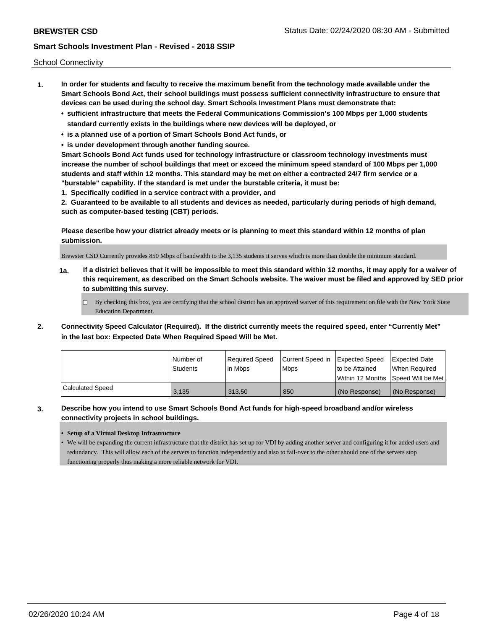School Connectivity

- **1. In order for students and faculty to receive the maximum benefit from the technology made available under the Smart Schools Bond Act, their school buildings must possess sufficient connectivity infrastructure to ensure that devices can be used during the school day. Smart Schools Investment Plans must demonstrate that:**
	- **• sufficient infrastructure that meets the Federal Communications Commission's 100 Mbps per 1,000 students standard currently exists in the buildings where new devices will be deployed, or**
	- **• is a planned use of a portion of Smart Schools Bond Act funds, or**
	- **• is under development through another funding source.**

**Smart Schools Bond Act funds used for technology infrastructure or classroom technology investments must increase the number of school buildings that meet or exceed the minimum speed standard of 100 Mbps per 1,000 students and staff within 12 months. This standard may be met on either a contracted 24/7 firm service or a "burstable" capability. If the standard is met under the burstable criteria, it must be:**

**1. Specifically codified in a service contract with a provider, and**

**2. Guaranteed to be available to all students and devices as needed, particularly during periods of high demand, such as computer-based testing (CBT) periods.**

**Please describe how your district already meets or is planning to meet this standard within 12 months of plan submission.**

Brewster CSD Currently provides 850 Mbps of bandwidth to the 3,135 students it serves which is more than double the minimum standard.

**1a. If a district believes that it will be impossible to meet this standard within 12 months, it may apply for a waiver of this requirement, as described on the Smart Schools website. The waiver must be filed and approved by SED prior to submitting this survey.**

 $\Box$  By checking this box, you are certifying that the school district has an approved waiver of this requirement on file with the New York State Education Department.

**2. Connectivity Speed Calculator (Required). If the district currently meets the required speed, enter "Currently Met" in the last box: Expected Date When Required Speed Will be Met.**

|                  | l Number of     | Required Speed | Current Speed in | Expected Speed | Expected Date                      |
|------------------|-----------------|----------------|------------------|----------------|------------------------------------|
|                  | <b>Students</b> | lin Mbps       | <b>Mbps</b>      | to be Attained | When Required                      |
|                  |                 |                |                  |                | Within 12 Months Speed Will be Met |
| Calculated Speed | 3.135           | 313.50         | 850              | (No Response)  | (No Response)                      |

**3. Describe how you intend to use Smart Schools Bond Act funds for high-speed broadband and/or wireless connectivity projects in school buildings.**

#### **• Setup of a Virtual Desktop Infrastructure**

• We will be expanding the current infrastructure that the district has set up for VDI by adding another server and configuring it for added users and redundancy. This will allow each of the servers to function independently and also to fail-over to the other should one of the servers stop functioning properly thus making a more reliable network for VDI.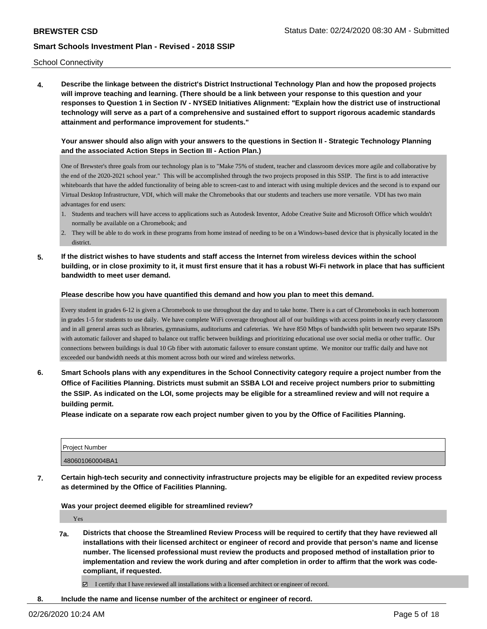**4. Describe the linkage between the district's District Instructional Technology Plan and how the proposed projects will improve teaching and learning. (There should be a link between your response to this question and your responses to Question 1 in Section IV - NYSED Initiatives Alignment: "Explain how the district use of instructional technology will serve as a part of a comprehensive and sustained effort to support rigorous academic standards attainment and performance improvement for students."** 

### **Your answer should also align with your answers to the questions in Section II - Strategic Technology Planning and the associated Action Steps in Section III - Action Plan.)**

One of Brewster's three goals from our technology plan is to "Make 75% of student, teacher and classroom devices more agile and collaborative by the end of the 2020-2021 school year." This will be accomplished through the two projects proposed in this SSIP. The first is to add interactive whiteboards that have the added functionality of being able to screen-cast to and interact with using multiple devices and the second is to expand our Virtual Desktop Infrastructure, VDI, which will make the Chromebooks that our students and teachers use more versatile. VDI has two main advantages for end users:

- 1. Students and teachers will have access to applications such as Autodesk Inventor, Adobe Creative Suite and Microsoft Office which wouldn't normally be available on a Chromebook; and
- 2. They will be able to do work in these programs from home instead of needing to be on a Windows-based device that is physically located in the district.
- **5. If the district wishes to have students and staff access the Internet from wireless devices within the school building, or in close proximity to it, it must first ensure that it has a robust Wi-Fi network in place that has sufficient bandwidth to meet user demand.**

#### **Please describe how you have quantified this demand and how you plan to meet this demand.**

Every student in grades 6-12 is given a Chromebook to use throughout the day and to take home. There is a cart of Chromebooks in each homeroom in grades 1-5 for students to use daily. We have complete WiFi coverage throughout all of our buildings with access points in nearly every classroom and in all general areas such as libraries, gymnasiums, auditoriums and cafeterias. We have 850 Mbps of bandwidth split between two separate ISPs with automatic failover and shaped to balance out traffic between buildings and prioritizing educational use over social media or other traffic. Our connections between buildings is dual 10 Gb fiber with automatic failover to ensure constant uptime. We monitor our traffic daily and have not exceeded our bandwidth needs at this moment across both our wired and wireless networks.

**6. Smart Schools plans with any expenditures in the School Connectivity category require a project number from the Office of Facilities Planning. Districts must submit an SSBA LOI and receive project numbers prior to submitting the SSIP. As indicated on the LOI, some projects may be eligible for a streamlined review and will not require a building permit.**

**Please indicate on a separate row each project number given to you by the Office of Facilities Planning.**

| Project Number  |  |
|-----------------|--|
| 480601060004BA1 |  |

**7. Certain high-tech security and connectivity infrastructure projects may be eligible for an expedited review process as determined by the Office of Facilities Planning.**

**Was your project deemed eligible for streamlined review?**

Yes

**7a. Districts that choose the Streamlined Review Process will be required to certify that they have reviewed all installations with their licensed architect or engineer of record and provide that person's name and license number. The licensed professional must review the products and proposed method of installation prior to implementation and review the work during and after completion in order to affirm that the work was codecompliant, if requested.**

 $\boxtimes$  I certify that I have reviewed all installations with a licensed architect or engineer of record.

**8. Include the name and license number of the architect or engineer of record.**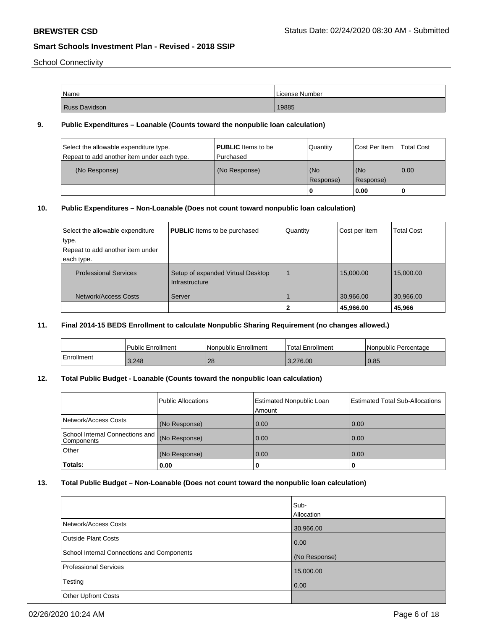School Connectivity

| Name                 | License Number |
|----------------------|----------------|
| <b>Russ Davidson</b> | 19885          |

## **9. Public Expenditures – Loanable (Counts toward the nonpublic loan calculation)**

| Select the allowable expenditure type.<br>Repeat to add another item under each type. | <b>PUBLIC</b> Items to be<br>Purchased | Quantity         | Cost Per Item    | Total Cost |
|---------------------------------------------------------------------------------------|----------------------------------------|------------------|------------------|------------|
| (No Response)                                                                         | (No Response)                          | (No<br>Response) | (No<br>Response) | 0.00       |
|                                                                                       |                                        |                  | 0.00             |            |

# **10. Public Expenditures – Non-Loanable (Does not count toward nonpublic loan calculation)**

| Select the allowable expenditure<br>type.<br>Repeat to add another item under<br>each type. | <b>PUBLIC</b> Items to be purchased                 | Quantity | Cost per Item | <b>Total Cost</b> |
|---------------------------------------------------------------------------------------------|-----------------------------------------------------|----------|---------------|-------------------|
| <b>Professional Services</b>                                                                | Setup of expanded Virtual Desktop<br>Infrastructure |          | 15,000.00     | 15,000.00         |
| Network/Access Costs                                                                        | Server                                              |          | 30,966.00     | 30,966.00         |
|                                                                                             |                                                     |          | 45,966.00     | 45,966            |

### **11. Final 2014-15 BEDS Enrollment to calculate Nonpublic Sharing Requirement (no changes allowed.)**

|            | <b>Public Enrollment</b> | Nonpublic Enrollment | Total Enrollment | l Nonpublic Percentage |
|------------|--------------------------|----------------------|------------------|------------------------|
| Enrollment | 3,248                    | 28                   | 3.276.00         | 0.85                   |

### **12. Total Public Budget - Loanable (Counts toward the nonpublic loan calculation)**

|                                               | <b>Public Allocations</b> | Estimated Nonpublic Loan<br>Amount | <b>Estimated Total Sub-Allocations</b> |
|-----------------------------------------------|---------------------------|------------------------------------|----------------------------------------|
| Network/Access Costs                          | (No Response)             | 0.00                               | 0.00                                   |
| School Internal Connections and<br>Components | (No Response)             | 0.00                               | 0.00                                   |
| <b>Other</b>                                  | (No Response)             | 0.00                               | 0.00                                   |
| <b>Totals:</b>                                | 0.00                      | U                                  | 0                                      |

# **13. Total Public Budget – Non-Loanable (Does not count toward the nonpublic loan calculation)**

|                                                   | Sub-<br>Allocation |
|---------------------------------------------------|--------------------|
| Network/Access Costs                              | 30,966.00          |
| Outside Plant Costs                               | 0.00               |
| <b>School Internal Connections and Components</b> | (No Response)      |
| Professional Services                             | 15,000.00          |
| Testing                                           | $\overline{0.00}$  |
| <b>Other Upfront Costs</b>                        |                    |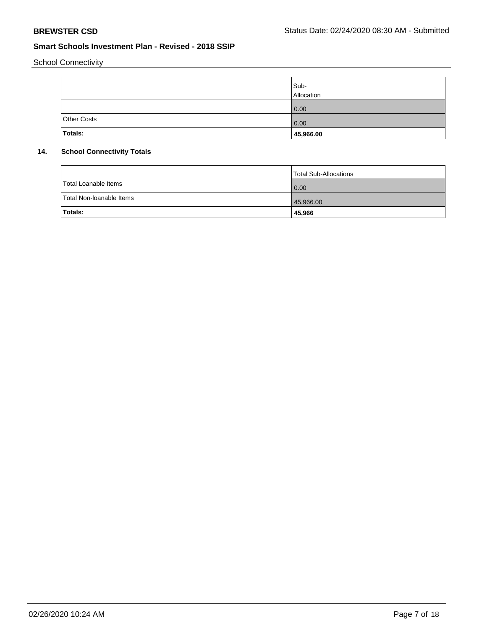School Connectivity

|             | Sub-<br>Allocation |
|-------------|--------------------|
|             | 0.00               |
| Other Costs | 0.00               |
| Totals:     | 45,966.00          |

# **14. School Connectivity Totals**

|                          | Total Sub-Allocations |
|--------------------------|-----------------------|
| Total Loanable Items     | $\overline{0.00}$     |
| Total Non-Ioanable Items | 45,966.00             |
| Totals:                  | 45,966                |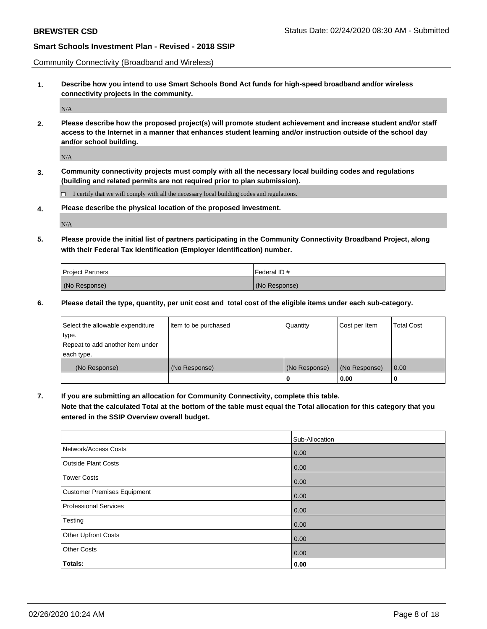Community Connectivity (Broadband and Wireless)

**1. Describe how you intend to use Smart Schools Bond Act funds for high-speed broadband and/or wireless connectivity projects in the community.**

 $\rm N/A$ 

**2. Please describe how the proposed project(s) will promote student achievement and increase student and/or staff access to the Internet in a manner that enhances student learning and/or instruction outside of the school day and/or school building.**

N/A

**3. Community connectivity projects must comply with all the necessary local building codes and regulations (building and related permits are not required prior to plan submission).**

 $\Box$  I certify that we will comply with all the necessary local building codes and regulations.

**4. Please describe the physical location of the proposed investment.**

N/A

**5. Please provide the initial list of partners participating in the Community Connectivity Broadband Project, along with their Federal Tax Identification (Employer Identification) number.**

| <b>Project Partners</b> | l Federal ID # |
|-------------------------|----------------|
| (No Response)           | (No Response)  |

**6. Please detail the type, quantity, per unit cost and total cost of the eligible items under each sub-category.**

| Select the allowable expenditure | Item to be purchased | Quantity      | Cost per Item | <b>Total Cost</b> |
|----------------------------------|----------------------|---------------|---------------|-------------------|
| type.                            |                      |               |               |                   |
| Repeat to add another item under |                      |               |               |                   |
| each type.                       |                      |               |               |                   |
| (No Response)                    | (No Response)        | (No Response) | (No Response) | 0.00              |
|                                  |                      | U             | 0.00          |                   |

**7. If you are submitting an allocation for Community Connectivity, complete this table.**

**Note that the calculated Total at the bottom of the table must equal the Total allocation for this category that you entered in the SSIP Overview overall budget.**

|                                    | Sub-Allocation |
|------------------------------------|----------------|
| Network/Access Costs               | 0.00           |
| <b>Outside Plant Costs</b>         | 0.00           |
| <b>Tower Costs</b>                 | 0.00           |
| <b>Customer Premises Equipment</b> | 0.00           |
| <b>Professional Services</b>       | 0.00           |
| Testing                            | 0.00           |
| Other Upfront Costs                | 0.00           |
| <b>Other Costs</b>                 | 0.00           |
| Totals:                            | 0.00           |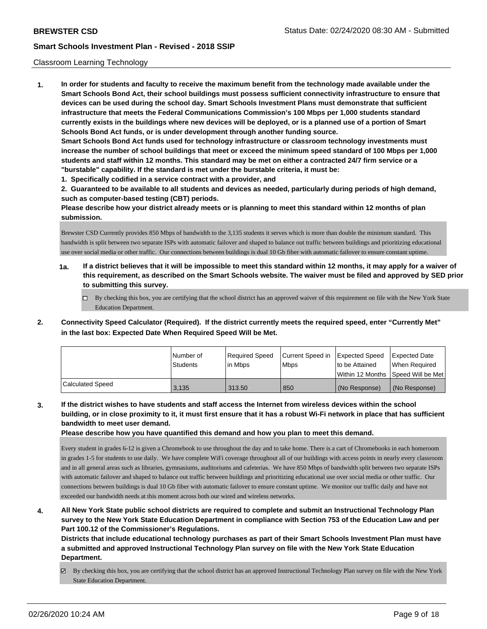#### Classroom Learning Technology

**1. In order for students and faculty to receive the maximum benefit from the technology made available under the Smart Schools Bond Act, their school buildings must possess sufficient connectivity infrastructure to ensure that devices can be used during the school day. Smart Schools Investment Plans must demonstrate that sufficient infrastructure that meets the Federal Communications Commission's 100 Mbps per 1,000 students standard currently exists in the buildings where new devices will be deployed, or is a planned use of a portion of Smart Schools Bond Act funds, or is under development through another funding source. Smart Schools Bond Act funds used for technology infrastructure or classroom technology investments must increase the number of school buildings that meet or exceed the minimum speed standard of 100 Mbps per 1,000 students and staff within 12 months. This standard may be met on either a contracted 24/7 firm service or a "burstable" capability. If the standard is met under the burstable criteria, it must be:**

**1. Specifically codified in a service contract with a provider, and**

**2. Guaranteed to be available to all students and devices as needed, particularly during periods of high demand, such as computer-based testing (CBT) periods.**

**Please describe how your district already meets or is planning to meet this standard within 12 months of plan submission.**

Brewster CSD Currently provides 850 Mbps of bandwidth to the 3,135 students it serves which is more than double the minimum standard. This bandwidth is split between two separate ISPs with automatic failover and shaped to balance out traffic between buildings and prioritizing educational use over social media or other traffic. Our connections between buildings is dual 10 Gb fiber with automatic failover to ensure constant uptime.

- **1a. If a district believes that it will be impossible to meet this standard within 12 months, it may apply for a waiver of this requirement, as described on the Smart Schools website. The waiver must be filed and approved by SED prior to submitting this survey.**
	- $\Box$  By checking this box, you are certifying that the school district has an approved waiver of this requirement on file with the New York State Education Department.
- **2. Connectivity Speed Calculator (Required). If the district currently meets the required speed, enter "Currently Met" in the last box: Expected Date When Required Speed Will be Met.**

|                  | l Number of<br>Students | Required Speed<br>lin Mbps | Current Speed in<br><b>Mbps</b> | Expected Speed<br>to be Attained | Expected Date<br>When Reauired |
|------------------|-------------------------|----------------------------|---------------------------------|----------------------------------|--------------------------------|
|                  |                         |                            |                                 | Within 12 Months                 | Speed Will be Met              |
| Calculated Speed | 3.135                   | 313.50                     | 850                             | (No Response)                    | (No Response)                  |

**3. If the district wishes to have students and staff access the Internet from wireless devices within the school building, or in close proximity to it, it must first ensure that it has a robust Wi-Fi network in place that has sufficient bandwidth to meet user demand.**

**Please describe how you have quantified this demand and how you plan to meet this demand.**

Every student in grades 6-12 is given a Chromebook to use throughout the day and to take home. There is a cart of Chromebooks in each homeroom in grades 1-5 for students to use daily. We have complete WiFi coverage throughout all of our buildings with access points in nearly every classroom and in all general areas such as libraries, gymnasiums, auditoriums and cafeterias. We have 850 Mbps of bandwidth split between two separate ISPs with automatic failover and shaped to balance out traffic between buildings and prioritizing educational use over social media or other traffic. Our connections between buildings is dual 10 Gb fiber with automatic failover to ensure constant uptime. We monitor our traffic daily and have not exceeded our bandwidth needs at this moment across both our wired and wireless networks.

**4. All New York State public school districts are required to complete and submit an Instructional Technology Plan survey to the New York State Education Department in compliance with Section 753 of the Education Law and per Part 100.12 of the Commissioner's Regulations.**

**Districts that include educational technology purchases as part of their Smart Schools Investment Plan must have a submitted and approved Instructional Technology Plan survey on file with the New York State Education Department.**

By checking this box, you are certifying that the school district has an approved Instructional Technology Plan survey on file with the New York State Education Department.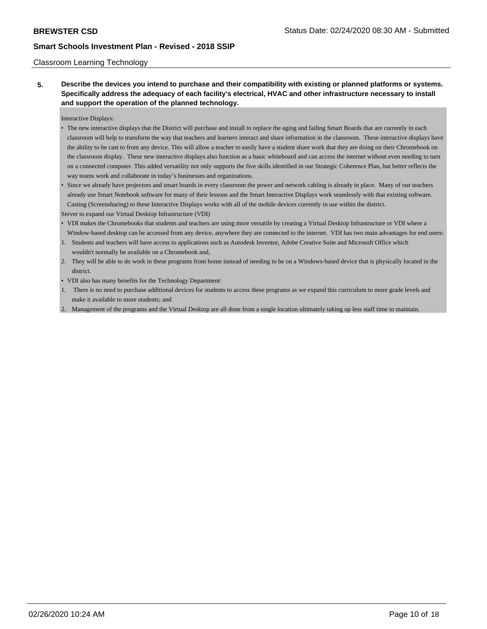#### Classroom Learning Technology

**5. Describe the devices you intend to purchase and their compatibility with existing or planned platforms or systems. Specifically address the adequacy of each facility's electrical, HVAC and other infrastructure necessary to install and support the operation of the planned technology.**

Interactive Displays:

- The new interactive displays that the District will purchase and install to replace the aging and failing Smart Boards that are currently in each classroom will help to transform the way that teachers and learners interact and share information in the classroom. These interactive displays have the ability to be cast to from any device. This will allow a teacher to easily have a student share work that they are doing on their Chromebook on the classroom display. These new interactive displays also function as a basic whiteboard and can access the internet without even needing to turn on a connected computer. This added versatility not only supports the five skills identified in our Strategic Coherence Plan, but better reflects the way teams work and collaborate in today's businesses and organizations.
- Since we already have projectors and smart boards in every classroom the power and network cabling is already in place. Many of our teachers already use Smart Notebook software for many of their lessons and the Smart Interactive Displays work seamlessly with that existing software. Casting (Screensharing) to these Interactive Displays works with all of the mobile devices currently in use within the district.

Server to expand our Virtual Desktop Infrastructure (VDI)

- VDI makes the Chromebooks that students and teachers are using more versatile by creating a Virtual Desktop Infrastructure or VDI where a Window-based desktop can be accessed from any device, anywhere they are connected to the internet. VDI has two main advantages for end users:
- 1. Students and teachers will have access to applications such as Autodesk Inventor, Adobe Creative Suite and Microsoft Office which wouldn't normally be available on a Chromebook and,
- 2. They will be able to do work in these programs from home instead of needing to be on a Windows-based device that is physically located in the district.
- VDI also has many benefits for the Technology Department:
- 1. There is no need to purchase additional devices for students to access these programs as we expand this curriculum to more grade levels and make it available to more students; and
- 2. Management of the programs and the Virtual Desktop are all done from a single location ultimately taking up less staff time to maintain.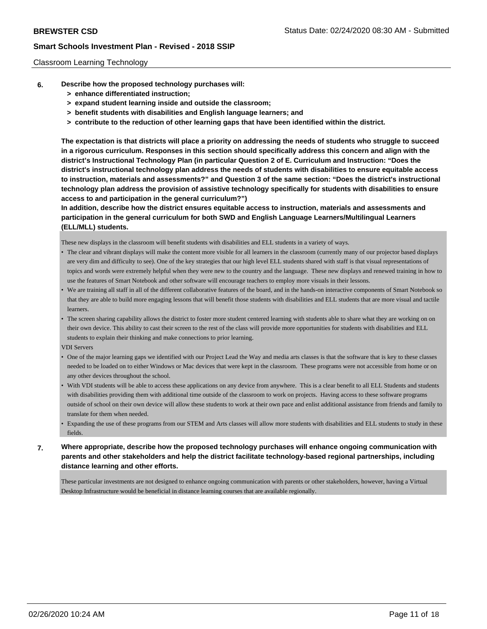#### Classroom Learning Technology

- **6. Describe how the proposed technology purchases will:**
	- **> enhance differentiated instruction;**
	- **> expand student learning inside and outside the classroom;**
	- **> benefit students with disabilities and English language learners; and**
	- **> contribute to the reduction of other learning gaps that have been identified within the district.**

**The expectation is that districts will place a priority on addressing the needs of students who struggle to succeed in a rigorous curriculum. Responses in this section should specifically address this concern and align with the district's Instructional Technology Plan (in particular Question 2 of E. Curriculum and Instruction: "Does the district's instructional technology plan address the needs of students with disabilities to ensure equitable access to instruction, materials and assessments?" and Question 3 of the same section: "Does the district's instructional technology plan address the provision of assistive technology specifically for students with disabilities to ensure access to and participation in the general curriculum?")**

**In addition, describe how the district ensures equitable access to instruction, materials and assessments and participation in the general curriculum for both SWD and English Language Learners/Multilingual Learners (ELL/MLL) students.**

These new displays in the classroom will benefit students with disabilities and ELL students in a variety of ways.

- The clear and vibrant displays will make the content more visible for all learners in the classroom (currently many of our projector based displays are very dim and difficulty to see). One of the key strategies that our high level ELL students shared with staff is that visual representations of topics and words were extremely helpful when they were new to the country and the language. These new displays and renewed training in how to use the features of Smart Notebook and other software will encourage teachers to employ more visuals in their lessons.
- We are training all staff in all of the different collaborative features of the board, and in the hands-on interactive components of Smart Notebook so that they are able to build more engaging lessons that will benefit those students with disabilities and ELL students that are more visual and tactile learners.
- The screen sharing capability allows the district to foster more student centered learning with students able to share what they are working on on their own device. This ability to cast their screen to the rest of the class will provide more opportunities for students with disabilities and ELL students to explain their thinking and make connections to prior learning.

VDI Servers

- One of the major learning gaps we identified with our Project Lead the Way and media arts classes is that the software that is key to these classes needed to be loaded on to either Windows or Mac devices that were kept in the classroom. These programs were not accessible from home or on any other devices throughout the school.
- With VDI students will be able to access these applications on any device from anywhere. This is a clear benefit to all ELL Students and students with disabilities providing them with additional time outside of the classroom to work on projects. Having access to these software programs outside of school on their own device will allow these students to work at their own pace and enlist additional assistance from friends and family to translate for them when needed.
- Expanding the use of these programs from our STEM and Arts classes will allow more students with disabilities and ELL students to study in these fields.
- **7. Where appropriate, describe how the proposed technology purchases will enhance ongoing communication with parents and other stakeholders and help the district facilitate technology-based regional partnerships, including distance learning and other efforts.**

These particular investments are not designed to enhance ongoing communication with parents or other stakeholders, however, having a Virtual Desktop Infrastructure would be beneficial in distance learning courses that are available regionally.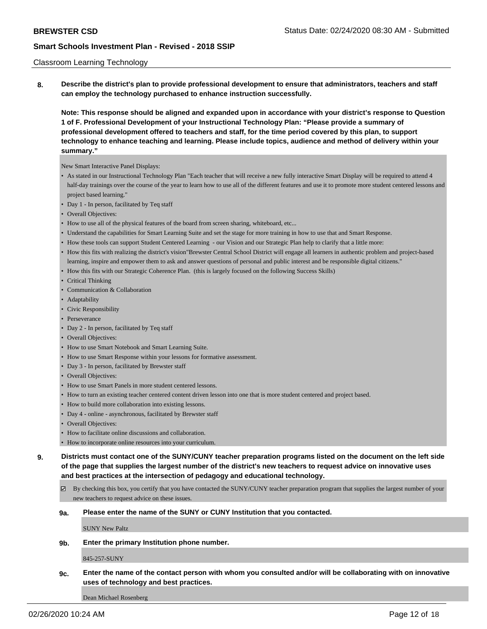#### Classroom Learning Technology

**8. Describe the district's plan to provide professional development to ensure that administrators, teachers and staff can employ the technology purchased to enhance instruction successfully.**

**Note: This response should be aligned and expanded upon in accordance with your district's response to Question 1 of F. Professional Development of your Instructional Technology Plan: "Please provide a summary of professional development offered to teachers and staff, for the time period covered by this plan, to support technology to enhance teaching and learning. Please include topics, audience and method of delivery within your summary."**

New Smart Interactive Panel Displays:

- As stated in our Instructional Technology Plan "Each teacher that will receive a new fully interactive Smart Display will be required to attend 4 half-day trainings over the course of the year to learn how to use all of the different features and use it to promote more student centered lessons and project based learning."
- Day 1 In person, facilitated by Teq staff
- Overall Objectives:
- How to use all of the physical features of the board from screen sharing, whiteboard, etc...
- Understand the capabilities for Smart Learning Suite and set the stage for more training in how to use that and Smart Response.
- How these tools can support Student Centered Learning our Vision and our Strategic Plan help to clarify that a little more:
- How this fits with realizing the district's vision"Brewster Central School District will engage all learners in authentic problem and project-based learning, inspire and empower them to ask and answer questions of personal and public interest and be responsible digital citizens."
- How this fits with our Strategic Coherence Plan. (this is largely focused on the following Success Skills)
- Critical Thinking
- Communication & Collaboration
- Adaptability
- Civic Responsibility
- Perseverance
- Day 2 In person, facilitated by Teq staff
- Overall Objectives:
- How to use Smart Notebook and Smart Learning Suite.
- How to use Smart Response within your lessons for formative assessment.
- Day 3 In person, facilitated by Brewster staff
- Overall Objectives:
- How to use Smart Panels in more student centered lessons.
- How to turn an existing teacher centered content driven lesson into one that is more student centered and project based.
- How to build more collaboration into existing lessons.
- Day 4 online asynchronous, facilitated by Brewster staff
- Overall Objectives:
- How to facilitate online discussions and collaboration.
- How to incorporate online resources into your curriculum.

**9. Districts must contact one of the SUNY/CUNY teacher preparation programs listed on the document on the left side of the page that supplies the largest number of the district's new teachers to request advice on innovative uses and best practices at the intersection of pedagogy and educational technology.**

- By checking this box, you certify that you have contacted the SUNY/CUNY teacher preparation program that supplies the largest number of your new teachers to request advice on these issues.
- **9a. Please enter the name of the SUNY or CUNY Institution that you contacted.**

SUNY New Paltz

**9b. Enter the primary Institution phone number.**

845-257-SUNY

**9c. Enter the name of the contact person with whom you consulted and/or will be collaborating with on innovative uses of technology and best practices.**

Dean Michael Rosenberg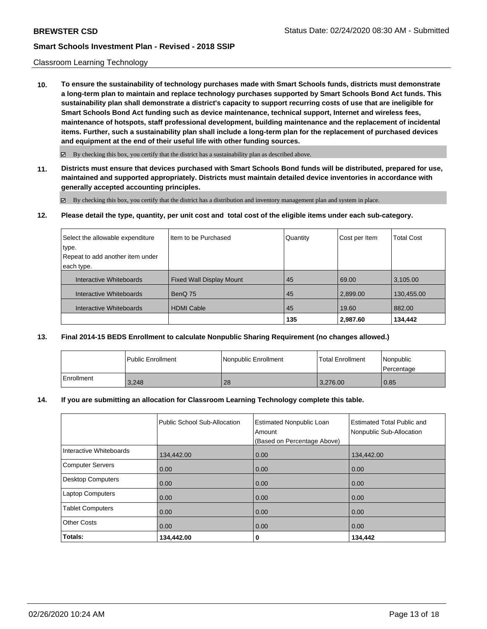#### Classroom Learning Technology

**10. To ensure the sustainability of technology purchases made with Smart Schools funds, districts must demonstrate a long-term plan to maintain and replace technology purchases supported by Smart Schools Bond Act funds. This sustainability plan shall demonstrate a district's capacity to support recurring costs of use that are ineligible for Smart Schools Bond Act funding such as device maintenance, technical support, Internet and wireless fees, maintenance of hotspots, staff professional development, building maintenance and the replacement of incidental items. Further, such a sustainability plan shall include a long-term plan for the replacement of purchased devices and equipment at the end of their useful life with other funding sources.**

 $\boxtimes$  By checking this box, you certify that the district has a sustainability plan as described above.

**11. Districts must ensure that devices purchased with Smart Schools Bond funds will be distributed, prepared for use, maintained and supported appropriately. Districts must maintain detailed device inventories in accordance with generally accepted accounting principles.**

By checking this box, you certify that the district has a distribution and inventory management plan and system in place.

**12. Please detail the type, quantity, per unit cost and total cost of the eligible items under each sub-category.**

| Select the allowable expenditure | Item to be Purchased            | Quantity | Cost per Item | <b>Total Cost</b> |
|----------------------------------|---------------------------------|----------|---------------|-------------------|
| type.                            |                                 |          |               |                   |
| Repeat to add another item under |                                 |          |               |                   |
| each type.                       |                                 |          |               |                   |
| Interactive Whiteboards          | <b>Fixed Wall Display Mount</b> | 45       | 69.00         | 3,105.00          |
| Interactive Whiteboards          | BenQ 75                         | 45       | 2,899.00      | 130,455.00        |
| Interactive Whiteboards          | <b>HDMI Cable</b>               | 45       | 19.60         | 882.00            |
|                                  |                                 | 135      | 2,987.60      | 134,442           |

### **13. Final 2014-15 BEDS Enrollment to calculate Nonpublic Sharing Requirement (no changes allowed.)**

|            | Public Enrollment | Nonpublic Enrollment | l Total Enrollment | Nonpublic<br>l Percentage |
|------------|-------------------|----------------------|--------------------|---------------------------|
| Enrollment | 3,248             | 28                   | 3.276.00           | 0.85                      |

#### **14. If you are submitting an allocation for Classroom Learning Technology complete this table.**

| Interactive Whiteboards  | Public School Sub-Allocation | <b>Estimated Nonpublic Loan</b><br>Amount<br>(Based on Percentage Above) | <b>Estimated Total Public and</b><br>Nonpublic Sub-Allocation |
|--------------------------|------------------------------|--------------------------------------------------------------------------|---------------------------------------------------------------|
|                          | 134,442.00                   | 0.00                                                                     | 134,442.00                                                    |
| <b>Computer Servers</b>  | 0.00                         | 0.00                                                                     | 0.00                                                          |
| <b>Desktop Computers</b> | 0.00                         | 0.00                                                                     | 0.00                                                          |
| <b>Laptop Computers</b>  | 0.00                         | 0.00                                                                     | 0.00                                                          |
| <b>Tablet Computers</b>  | 0.00                         | 0.00                                                                     | 0.00                                                          |
| <b>Other Costs</b>       | 0.00                         | 0.00                                                                     | 0.00                                                          |
| Totals:                  | 134,442.00                   | 0                                                                        | 134,442                                                       |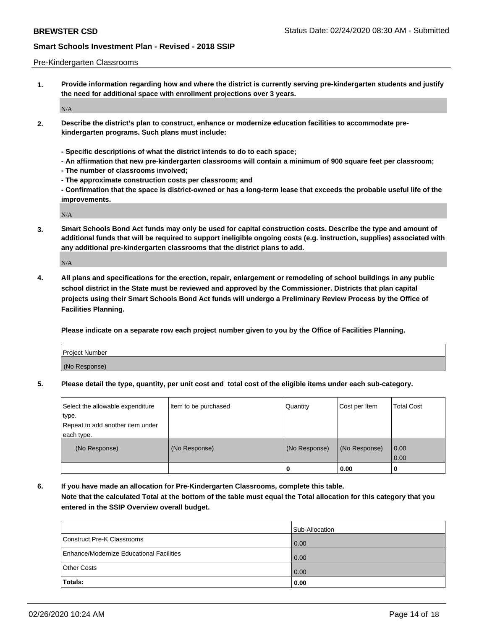#### Pre-Kindergarten Classrooms

**1. Provide information regarding how and where the district is currently serving pre-kindergarten students and justify the need for additional space with enrollment projections over 3 years.**

N/A

- **2. Describe the district's plan to construct, enhance or modernize education facilities to accommodate prekindergarten programs. Such plans must include:**
	- **Specific descriptions of what the district intends to do to each space;**
	- **An affirmation that new pre-kindergarten classrooms will contain a minimum of 900 square feet per classroom;**
	- **The number of classrooms involved;**
	- **The approximate construction costs per classroom; and**
	- **Confirmation that the space is district-owned or has a long-term lease that exceeds the probable useful life of the improvements.**

N/A

**3. Smart Schools Bond Act funds may only be used for capital construction costs. Describe the type and amount of additional funds that will be required to support ineligible ongoing costs (e.g. instruction, supplies) associated with any additional pre-kindergarten classrooms that the district plans to add.**

N/A

**4. All plans and specifications for the erection, repair, enlargement or remodeling of school buildings in any public school district in the State must be reviewed and approved by the Commissioner. Districts that plan capital projects using their Smart Schools Bond Act funds will undergo a Preliminary Review Process by the Office of Facilities Planning.**

**Please indicate on a separate row each project number given to you by the Office of Facilities Planning.**

| Project Number |  |
|----------------|--|
| (No Response)  |  |
|                |  |

**5. Please detail the type, quantity, per unit cost and total cost of the eligible items under each sub-category.**

| Select the allowable expenditure | Item to be purchased | Quantity      | Cost per Item | <b>Total Cost</b> |
|----------------------------------|----------------------|---------------|---------------|-------------------|
| type.                            |                      |               |               |                   |
| Repeat to add another item under |                      |               |               |                   |
| each type.                       |                      |               |               |                   |
| (No Response)                    | (No Response)        | (No Response) | (No Response) | 0.00              |
|                                  |                      |               |               | 0.00              |
|                                  |                      | U             | 0.00          |                   |

**6. If you have made an allocation for Pre-Kindergarten Classrooms, complete this table. Note that the calculated Total at the bottom of the table must equal the Total allocation for this category that you entered in the SSIP Overview overall budget.**

|                                          | Sub-Allocation |
|------------------------------------------|----------------|
| Construct Pre-K Classrooms               | 0.00           |
| Enhance/Modernize Educational Facilities | 0.00           |
| <b>Other Costs</b>                       | 0.00           |
| Totals:                                  | 0.00           |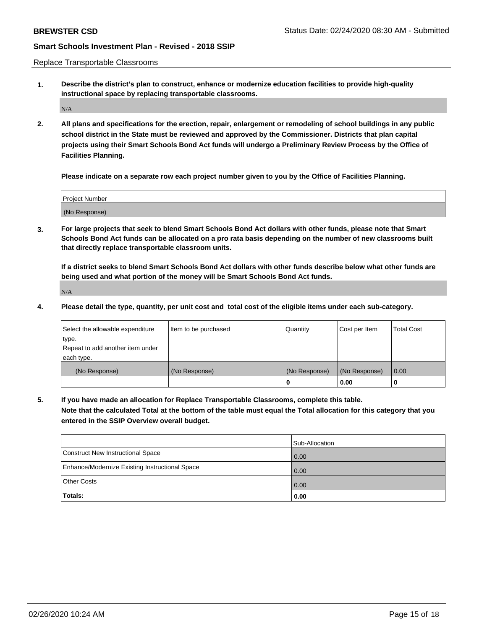Replace Transportable Classrooms

**1. Describe the district's plan to construct, enhance or modernize education facilities to provide high-quality instructional space by replacing transportable classrooms.**

 $\rm N/A$ 

**2. All plans and specifications for the erection, repair, enlargement or remodeling of school buildings in any public school district in the State must be reviewed and approved by the Commissioner. Districts that plan capital projects using their Smart Schools Bond Act funds will undergo a Preliminary Review Process by the Office of Facilities Planning.**

**Please indicate on a separate row each project number given to you by the Office of Facilities Planning.**

| Project Number |  |
|----------------|--|
|                |  |
| (No Response)  |  |

**3. For large projects that seek to blend Smart Schools Bond Act dollars with other funds, please note that Smart Schools Bond Act funds can be allocated on a pro rata basis depending on the number of new classrooms built that directly replace transportable classroom units.**

**If a district seeks to blend Smart Schools Bond Act dollars with other funds describe below what other funds are being used and what portion of the money will be Smart Schools Bond Act funds.**

N/A

**4. Please detail the type, quantity, per unit cost and total cost of the eligible items under each sub-category.**

| Select the allowable expenditure | Item to be purchased | Quantity      | Cost per Item | <b>Total Cost</b> |
|----------------------------------|----------------------|---------------|---------------|-------------------|
| 'type.                           |                      |               |               |                   |
| Repeat to add another item under |                      |               |               |                   |
| each type.                       |                      |               |               |                   |
| (No Response)                    | (No Response)        | (No Response) | (No Response) | 0.00              |
|                                  |                      | u             | 0.00          |                   |

**5. If you have made an allocation for Replace Transportable Classrooms, complete this table. Note that the calculated Total at the bottom of the table must equal the Total allocation for this category that you entered in the SSIP Overview overall budget.**

|                                                | Sub-Allocation    |
|------------------------------------------------|-------------------|
| Construct New Instructional Space              | 0.00              |
| Enhance/Modernize Existing Instructional Space | $\overline{0.00}$ |
| <b>Other Costs</b>                             | 0.00              |
| Totals:                                        | 0.00              |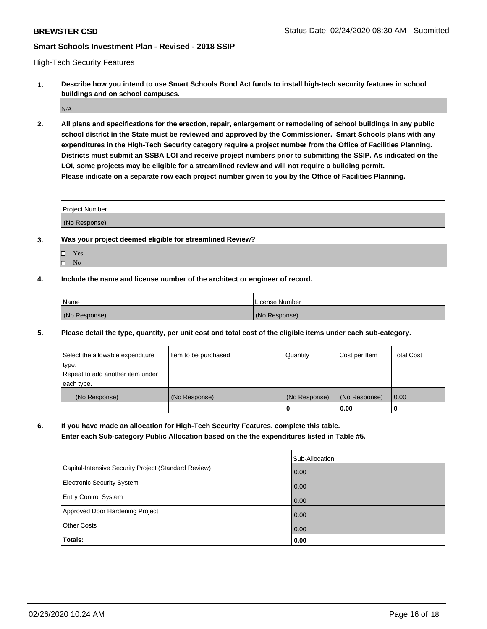High-Tech Security Features

**1. Describe how you intend to use Smart Schools Bond Act funds to install high-tech security features in school buildings and on school campuses.**

 $\rm N/A$ 

**2. All plans and specifications for the erection, repair, enlargement or remodeling of school buildings in any public school district in the State must be reviewed and approved by the Commissioner. Smart Schools plans with any expenditures in the High-Tech Security category require a project number from the Office of Facilities Planning. Districts must submit an SSBA LOI and receive project numbers prior to submitting the SSIP. As indicated on the LOI, some projects may be eligible for a streamlined review and will not require a building permit. Please indicate on a separate row each project number given to you by the Office of Facilities Planning.**

| <b>Project Number</b> |  |
|-----------------------|--|
| (No Response)         |  |

- **3. Was your project deemed eligible for streamlined Review?**
	- Yes
	- $\hfill \square$  No
- **4. Include the name and license number of the architect or engineer of record.**

| Name          | License Number |
|---------------|----------------|
| (No Response) | (No Response)  |

**5. Please detail the type, quantity, per unit cost and total cost of the eligible items under each sub-category.**

| Select the allowable expenditure | Item to be purchased | Quantity      | Cost per Item | Total Cost |
|----------------------------------|----------------------|---------------|---------------|------------|
| 'type.                           |                      |               |               |            |
| Repeat to add another item under |                      |               |               |            |
| each type.                       |                      |               |               |            |
| (No Response)                    | (No Response)        | (No Response) | (No Response) | 0.00       |
|                                  |                      | u             | 0.00          |            |

**6. If you have made an allocation for High-Tech Security Features, complete this table.**

**Enter each Sub-category Public Allocation based on the the expenditures listed in Table #5.**

|                                                      | Sub-Allocation    |
|------------------------------------------------------|-------------------|
| Capital-Intensive Security Project (Standard Review) | $\overline{0.00}$ |
| <b>Electronic Security System</b>                    | $\overline{0.00}$ |
| <b>Entry Control System</b>                          | 0.00              |
| Approved Door Hardening Project                      | $\overline{0.00}$ |
| <b>Other Costs</b>                                   | 0.00              |
| Totals:                                              | 0.00              |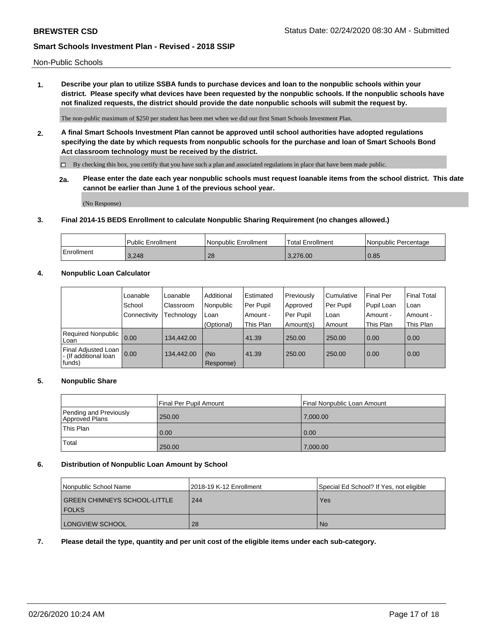**1. Describe your plan to utilize SSBA funds to purchase devices and loan to the nonpublic schools within your district. Please specify what devices have been requested by the nonpublic schools. If the nonpublic schools have not finalized requests, the district should provide the date nonpublic schools will submit the request by.**

The non-public maximum of \$250 per student has been met when we did our first Smart Schools Investment Plan.

**2. A final Smart Schools Investment Plan cannot be approved until school authorities have adopted regulations specifying the date by which requests from nonpublic schools for the purchase and loan of Smart Schools Bond Act classroom technology must be received by the district.**

By checking this box, you certify that you have such a plan and associated regulations in place that have been made public.

**2a. Please enter the date each year nonpublic schools must request loanable items from the school district. This date cannot be earlier than June 1 of the previous school year.**

(No Response)

#### **3. Final 2014-15 BEDS Enrollment to calculate Nonpublic Sharing Requirement (no changes allowed.)**

|            | Public Enrollment | Nonpublic Enrollment | 'Total Enrollment | l Nonpublic Percentage |
|------------|-------------------|----------------------|-------------------|------------------------|
| Enrollment | 3.248             | 28                   | 3.276.00          | 0.85                   |

# **4. Nonpublic Loan Calculator**

|                                                        | Loanable     | Loanable   | Additional       | Estimated | Previously | Cumulative | Final Per  | <b>Final Total</b> |
|--------------------------------------------------------|--------------|------------|------------------|-----------|------------|------------|------------|--------------------|
|                                                        | School       | Classroom  | Nonpublic        | Per Pupil | Approved   | Per Pupil  | Pupil Loan | Loan               |
|                                                        | Connectivity | Technology | Loan             | Amount -  | Per Pupil  | Loan       | Amount -   | Amount -           |
|                                                        |              |            | (Optional)       | This Plan | Amount(s)  | Amount     | This Plan  | This Plan          |
| Required Nonpublic<br>Loan                             | 0.00         | 134.442.00 |                  | 41.39     | 250.00     | 250.00     | 0.00       | 0.00               |
| Final Adjusted Loan<br>- (If additional loan<br>funds) | 0.00         | 134.442.00 | (No<br>Response) | 41.39     | 250.00     | 250.00     | 0.00       | 0.00               |

## **5. Nonpublic Share**

|                                          | Final Per Pupil Amount | Final Nonpublic Loan Amount |
|------------------------------------------|------------------------|-----------------------------|
| Pending and Previously<br>Approved Plans | 250.00                 | 7,000.00                    |
| This Plan                                | 0.00                   | 0.00                        |
| Total                                    | 250.00                 | 7,000.00                    |

### **6. Distribution of Nonpublic Loan Amount by School**

| Nonpublic School Name                               | 2018-19 K-12 Enrollment | Special Ed School? If Yes, not eligible |
|-----------------------------------------------------|-------------------------|-----------------------------------------|
| <b>GREEN CHIMNEYS SCHOOL-LITTLE</b><br><b>FOLKS</b> | 244                     | Yes                                     |
| LONGVIEW SCHOOL                                     | -28                     | <b>No</b>                               |

#### **7. Please detail the type, quantity and per unit cost of the eligible items under each sub-category.**